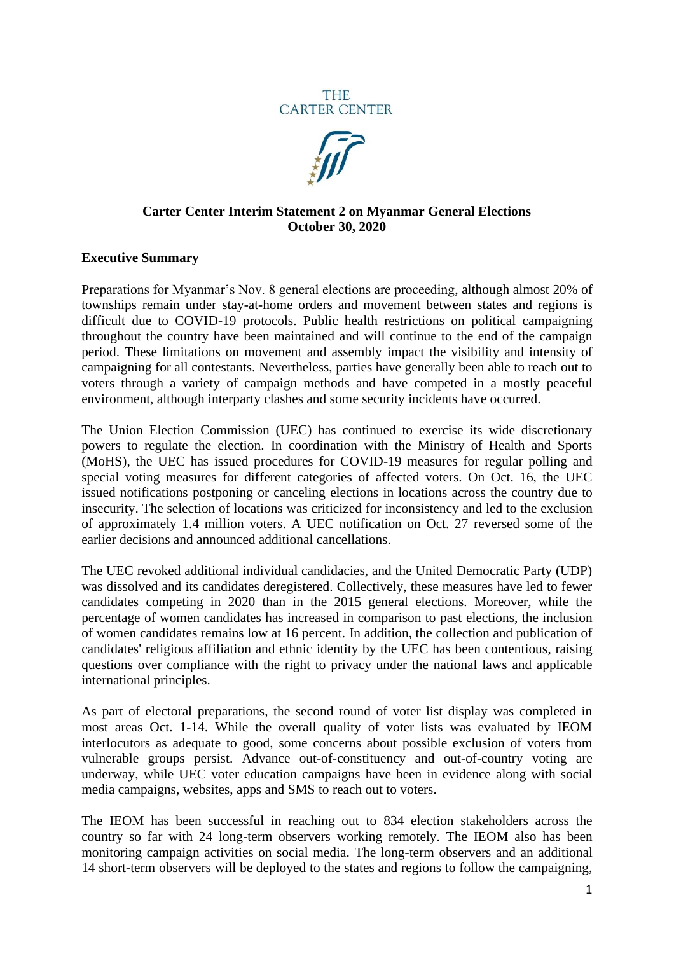



## **Carter Center Interim Statement 2 on Myanmar General Elections October 30, 2020**

## **Executive Summary**

Preparations for Myanmar's Nov. 8 general elections are proceeding, although almost 20% of townships remain under stay-at-home orders and movement between states and regions is difficult due to COVID-19 protocols. Public health restrictions on political campaigning throughout the country have been maintained and will continue to the end of the campaign period. These limitations on movement and assembly impact the visibility and intensity of campaigning for all contestants. Nevertheless, parties have generally been able to reach out to voters through a variety of campaign methods and have competed in a mostly peaceful environment, although interparty clashes and some security incidents have occurred.

The Union Election Commission (UEC) has continued to exercise its wide discretionary powers to regulate the election. In coordination with the Ministry of Health and Sports (MoHS), the UEC has issued procedures for COVID-19 measures for regular polling and special voting measures for different categories of affected voters. On Oct. 16, the UEC issued notifications postponing or canceling elections in locations across the country due to insecurity. The selection of locations was criticized for inconsistency and led to the exclusion of approximately 1.4 million voters. A UEC notification on Oct. 27 reversed some of the earlier decisions and announced additional cancellations.

The UEC revoked additional individual candidacies, and the United Democratic Party (UDP) was dissolved and its candidates deregistered. Collectively, these measures have led to fewer candidates competing in 2020 than in the 2015 general elections. Moreover, while the percentage of women candidates has increased in comparison to past elections, the inclusion of women candidates remains low at 16 percent. In addition, the collection and publication of candidates' religious affiliation and ethnic identity by the UEC has been contentious, raising questions over compliance with the right to privacy under the national laws and applicable international principles.

As part of electoral preparations, the second round of voter list display was completed in most areas Oct. 1-14. While the overall quality of voter lists was evaluated by IEOM interlocutors as adequate to good, some concerns about possible exclusion of voters from vulnerable groups persist. Advance out-of-constituency and out-of-country voting are underway, while UEC voter education campaigns have been in evidence along with social media campaigns, websites, apps and SMS to reach out to voters.

The IEOM has been successful in reaching out to 834 election stakeholders across the country so far with 24 long-term observers working remotely. The IEOM also has been monitoring campaign activities on social media. The long-term observers and an additional 14 short-term observers will be deployed to the states and regions to follow the campaigning,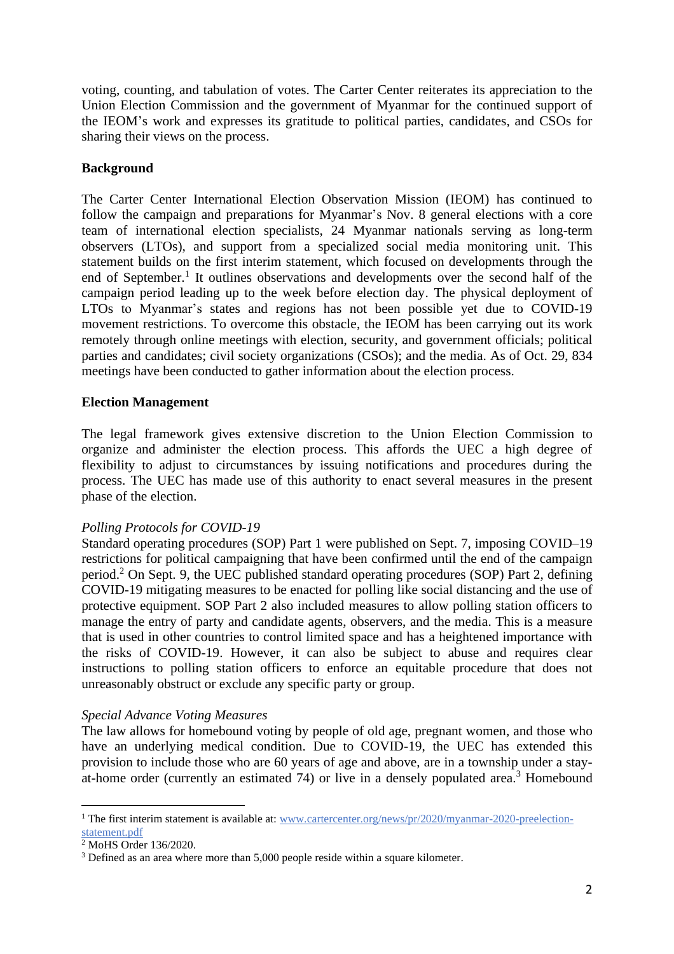voting, counting, and tabulation of votes. The Carter Center reiterates its appreciation to the Union Election Commission and the government of Myanmar for the continued support of the IEOM's work and expresses its gratitude to political parties, candidates, and CSOs for sharing their views on the process.

# **Background**

The Carter Center International Election Observation Mission (IEOM) has continued to follow the campaign and preparations for Myanmar's Nov. 8 general elections with a core team of international election specialists, 24 Myanmar nationals serving as long-term observers (LTOs), and support from a specialized social media monitoring unit. This statement builds on the first interim statement, which focused on developments through the end of September.<sup>1</sup> It outlines observations and developments over the second half of the campaign period leading up to the week before election day. The physical deployment of LTOs to Myanmar's states and regions has not been possible yet due to COVID-19 movement restrictions. To overcome this obstacle, the IEOM has been carrying out its work remotely through online meetings with election, security, and government officials; political parties and candidates; civil society organizations (CSOs); and the media. As of Oct. 29, 834 meetings have been conducted to gather information about the election process.

## **Election Management**

The legal framework gives extensive discretion to the Union Election Commission to organize and administer the election process. This affords the UEC a high degree of flexibility to adjust to circumstances by issuing notifications and procedures during the process. The UEC has made use of this authority to enact several measures in the present phase of the election.

## *Polling Protocols for COVID-19*

Standard operating procedures (SOP) Part 1 were published on Sept. 7, imposing COVID–19 restrictions for political campaigning that have been confirmed until the end of the campaign period.<sup>2</sup> On Sept. 9, the UEC published standard operating procedures (SOP) Part 2, defining COVID-19 mitigating measures to be enacted for polling like social distancing and the use of protective equipment. SOP Part 2 also included measures to allow polling station officers to manage the entry of party and candidate agents, observers, and the media. This is a measure that is used in other countries to control limited space and has a heightened importance with the risks of COVID-19. However, it can also be subject to abuse and requires clear instructions to polling station officers to enforce an equitable procedure that does not unreasonably obstruct or exclude any specific party or group.

## *Special Advance Voting Measures*

The law allows for homebound voting by people of old age, pregnant women, and those who have an underlying medical condition. Due to COVID-19, the UEC has extended this provision to include those who are 60 years of age and above, are in a township under a stayat-home order (currently an estimated 74) or live in a densely populated area.<sup>3</sup> Homebound

<sup>&</sup>lt;sup>1</sup> The first interim statement is available at: [www.cartercenter.org/news/pr/2020/myanmar-2020-preelection](http://www.cartercenter.org/news/pr/2020/myanmar-2020-preelection-statement.pdf)[statement.pdf](http://www.cartercenter.org/news/pr/2020/myanmar-2020-preelection-statement.pdf)

<sup>&</sup>lt;sup>2</sup> MoHS Order 136/2020.

<sup>&</sup>lt;sup>3</sup> Defined as an area where more than 5,000 people reside within a square kilometer.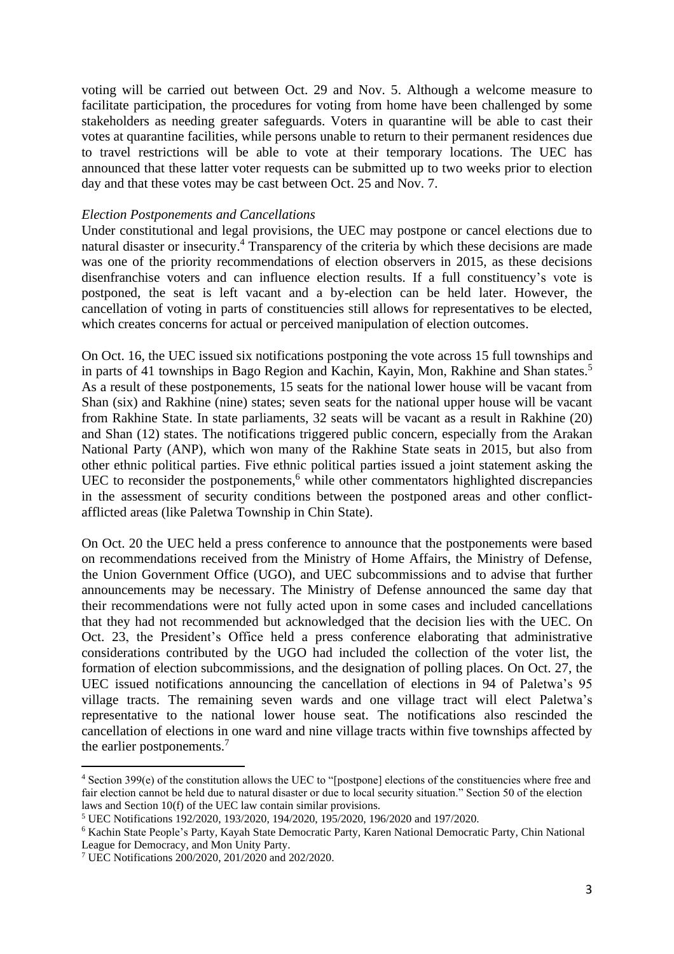voting will be carried out between Oct. 29 and Nov. 5. Although a welcome measure to facilitate participation, the procedures for voting from home have been challenged by some stakeholders as needing greater safeguards. Voters in quarantine will be able to cast their votes at quarantine facilities, while persons unable to return to their permanent residences due to travel restrictions will be able to vote at their temporary locations. The UEC has announced that these latter voter requests can be submitted up to two weeks prior to election day and that these votes may be cast between Oct. 25 and Nov. 7.

#### *Election Postponements and Cancellations*

Under constitutional and legal provisions, the UEC may postpone or cancel elections due to natural disaster or insecurity. <sup>4</sup> Transparency of the criteria by which these decisions are made was one of the priority recommendations of election observers in 2015, as these decisions disenfranchise voters and can influence election results. If a full constituency's vote is postponed, the seat is left vacant and a by-election can be held later. However, the cancellation of voting in parts of constituencies still allows for representatives to be elected, which creates concerns for actual or perceived manipulation of election outcomes.

On Oct. 16, the UEC issued six notifications postponing the vote across 15 full townships and in parts of 41 townships in Bago Region and Kachin, Kayin, Mon, Rakhine and Shan states. 5 As a result of these postponements, 15 seats for the national lower house will be vacant from Shan (six) and Rakhine (nine) states; seven seats for the national upper house will be vacant from Rakhine State. In state parliaments, 32 seats will be vacant as a result in Rakhine (20) and Shan (12) states. The notifications triggered public concern, especially from the Arakan National Party (ANP), which won many of the Rakhine State seats in 2015, but also from other ethnic political parties. Five ethnic political parties issued a joint statement asking the UEC to reconsider the postponements, $6$  while other commentators highlighted discrepancies in the assessment of security conditions between the postponed areas and other conflictafflicted areas (like Paletwa Township in Chin State).

On Oct. 20 the UEC held a press conference to announce that the postponements were based on recommendations received from the Ministry of Home Affairs, the Ministry of Defense, the Union Government Office (UGO), and UEC subcommissions and to advise that further announcements may be necessary. The Ministry of Defense announced the same day that their recommendations were not fully acted upon in some cases and included cancellations that they had not recommended but acknowledged that the decision lies with the UEC. On Oct. 23, the President's Office held a press conference elaborating that administrative considerations contributed by the UGO had included the collection of the voter list, the formation of election subcommissions, and the designation of polling places. On Oct. 27, the UEC issued notifications announcing the cancellation of elections in 94 of Paletwa's 95 village tracts. The remaining seven wards and one village tract will elect Paletwa's representative to the national lower house seat. The notifications also rescinded the cancellation of elections in one ward and nine village tracts within five townships affected by the earlier postponements.<sup>7</sup>

<sup>4</sup> Section 399(e) of the constitution allows the UEC to "[postpone] elections of the constituencies where free and fair election cannot be held due to natural disaster or due to local security situation." Section 50 of the election laws and Section 10(f) of the UEC law contain similar provisions.

<sup>5</sup> UEC Notifications 192/2020, 193/2020, 194/2020, 195/2020, 196/2020 and 197/2020.

<sup>6</sup> Kachin State People's Party, Kayah State Democratic Party, Karen National Democratic Party, Chin National League for Democracy, and Mon Unity Party.

<sup>7</sup> UEC Notifications 200/2020, 201/2020 and 202/2020.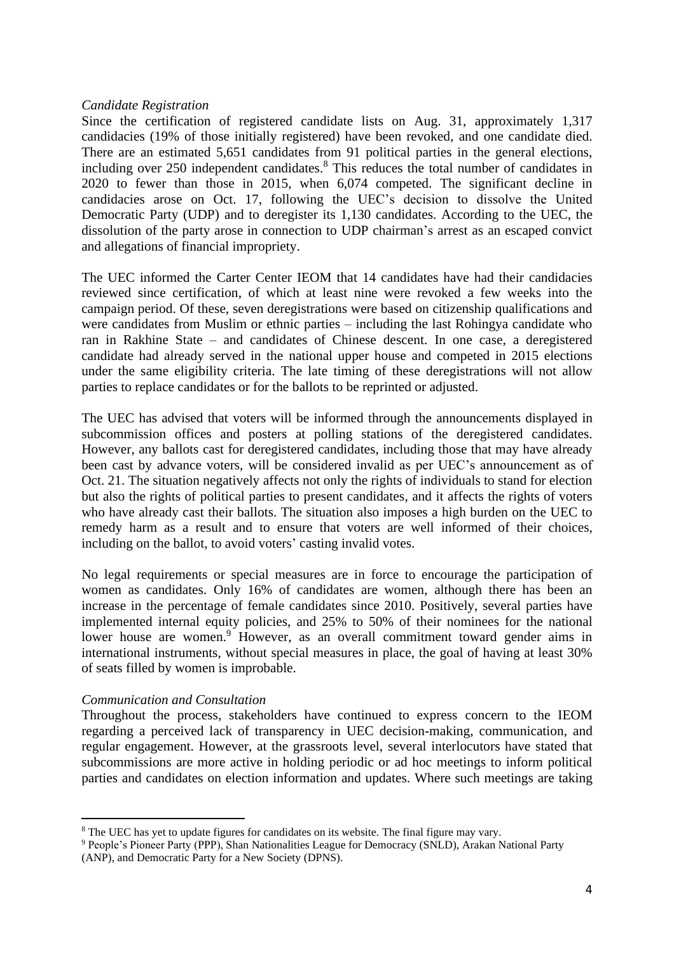### *Candidate Registration*

Since the certification of registered candidate lists on Aug. 31, approximately 1,317 candidacies (19% of those initially registered) have been revoked, and one candidate died. There are an estimated 5,651 candidates from 91 political parties in the general elections, including over 250 independent candidates. <sup>8</sup> This reduces the total number of candidates in 2020 to fewer than those in 2015, when 6,074 competed. The significant decline in candidacies arose on Oct. 17, following the UEC's decision to dissolve the United Democratic Party (UDP) and to deregister its 1,130 candidates. According to the UEC, the dissolution of the party arose in connection to UDP chairman's arrest as an escaped convict and allegations of financial impropriety.

The UEC informed the Carter Center IEOM that 14 candidates have had their candidacies reviewed since certification, of which at least nine were revoked a few weeks into the campaign period. Of these, seven deregistrations were based on citizenship qualifications and were candidates from Muslim or ethnic parties – including the last Rohingya candidate who ran in Rakhine State – and candidates of Chinese descent. In one case, a deregistered candidate had already served in the national upper house and competed in 2015 elections under the same eligibility criteria. The late timing of these deregistrations will not allow parties to replace candidates or for the ballots to be reprinted or adjusted.

The UEC has advised that voters will be informed through the announcements displayed in subcommission offices and posters at polling stations of the deregistered candidates. However, any ballots cast for deregistered candidates, including those that may have already been cast by advance voters, will be considered invalid as per UEC's announcement as of Oct. 21. The situation negatively affects not only the rights of individuals to stand for election but also the rights of political parties to present candidates, and it affects the rights of voters who have already cast their ballots. The situation also imposes a high burden on the UEC to remedy harm as a result and to ensure that voters are well informed of their choices, including on the ballot, to avoid voters' casting invalid votes.

No legal requirements or special measures are in force to encourage the participation of women as candidates. Only 16% of candidates are women, although there has been an increase in the percentage of female candidates since 2010. Positively, several parties have implemented internal equity policies, and 25% to 50% of their nominees for the national lower house are women.<sup>9</sup> However, as an overall commitment toward gender aims in international instruments, without special measures in place, the goal of having at least 30% of seats filled by women is improbable.

#### *Communication and Consultation*

Throughout the process, stakeholders have continued to express concern to the IEOM regarding a perceived lack of transparency in UEC decision-making, communication, and regular engagement. However, at the grassroots level, several interlocutors have stated that subcommissions are more active in holding periodic or ad hoc meetings to inform political parties and candidates on election information and updates. Where such meetings are taking

<sup>&</sup>lt;sup>8</sup> The UEC has yet to update figures for candidates on its website. The final figure may vary.

<sup>&</sup>lt;sup>9</sup> People's Pioneer Party (PPP), Shan Nationalities League for Democracy (SNLD), Arakan National Party (ANP), and Democratic Party for a New Society (DPNS).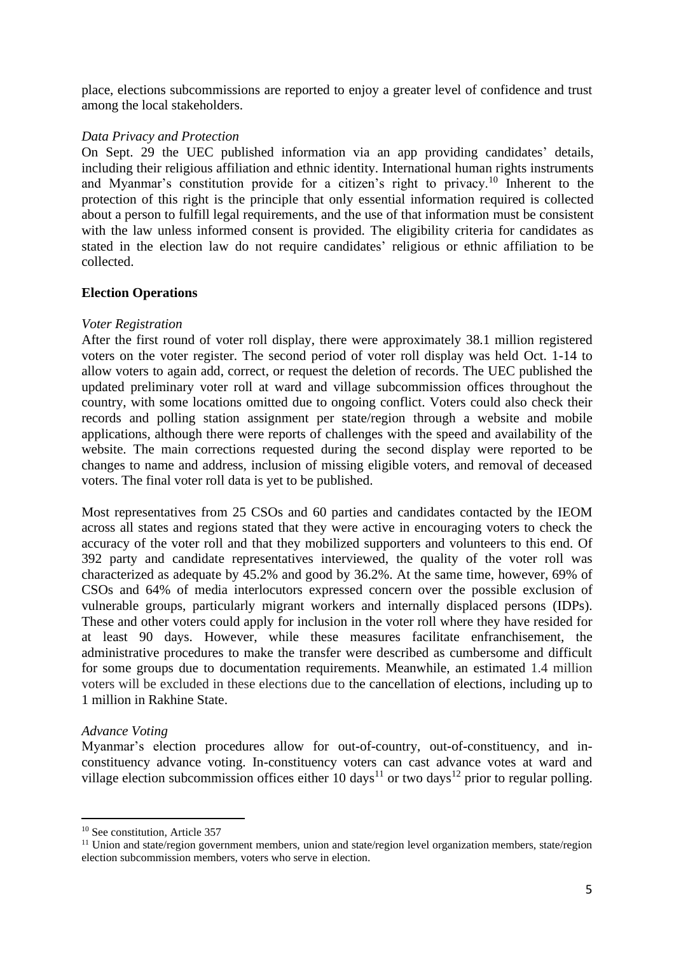place, elections subcommissions are reported to enjoy a greater level of confidence and trust among the local stakeholders.

## *Data Privacy and Protection*

On Sept. 29 the UEC published information via an app providing candidates' details, including their religious affiliation and ethnic identity. International human rights instruments and Myanmar's constitution provide for a citizen's right to privacy.<sup>10</sup> Inherent to the protection of this right is the principle that only essential information required is collected about a person to fulfill legal requirements, and the use of that information must be consistent with the law unless informed consent is provided. The eligibility criteria for candidates as stated in the election law do not require candidates' religious or ethnic affiliation to be collected.

### **Election Operations**

### *Voter Registration*

After the first round of voter roll display, there were approximately 38.1 million registered voters on the voter register. The second period of voter roll display was held Oct. 1-14 to allow voters to again add, correct, or request the deletion of records. The UEC published the updated preliminary voter roll at ward and village subcommission offices throughout the country, with some locations omitted due to ongoing conflict. Voters could also check their records and polling station assignment per state/region through a website and mobile applications, although there were reports of challenges with the speed and availability of the website. The main corrections requested during the second display were reported to be changes to name and address, inclusion of missing eligible voters, and removal of deceased voters. The final voter roll data is yet to be published.

Most representatives from 25 CSOs and 60 parties and candidates contacted by the IEOM across all states and regions stated that they were active in encouraging voters to check the accuracy of the voter roll and that they mobilized supporters and volunteers to this end. Of 392 party and candidate representatives interviewed, the quality of the voter roll was characterized as adequate by 45.2% and good by 36.2%. At the same time, however, 69% of CSOs and 64% of media interlocutors expressed concern over the possible exclusion of vulnerable groups, particularly migrant workers and internally displaced persons (IDPs). These and other voters could apply for inclusion in the voter roll where they have resided for at least 90 days. However, while these measures facilitate enfranchisement, the administrative procedures to make the transfer were described as cumbersome and difficult for some groups due to documentation requirements. Meanwhile, an estimated 1.4 million voters will be excluded in these elections due to the cancellation of elections, including up to 1 million in Rakhine State.

## *Advance Voting*

Myanmar's election procedures allow for out-of-country, out-of-constituency, and inconstituency advance voting. In-constituency voters can cast advance votes at ward and village election subcommission offices either 10 days<sup>11</sup> or two days<sup>12</sup> prior to regular polling.

<sup>&</sup>lt;sup>10</sup> See constitution, Article 357

<sup>&</sup>lt;sup>11</sup> Union and state/region government members, union and state/region level organization members, state/region election subcommission members, voters who serve in election.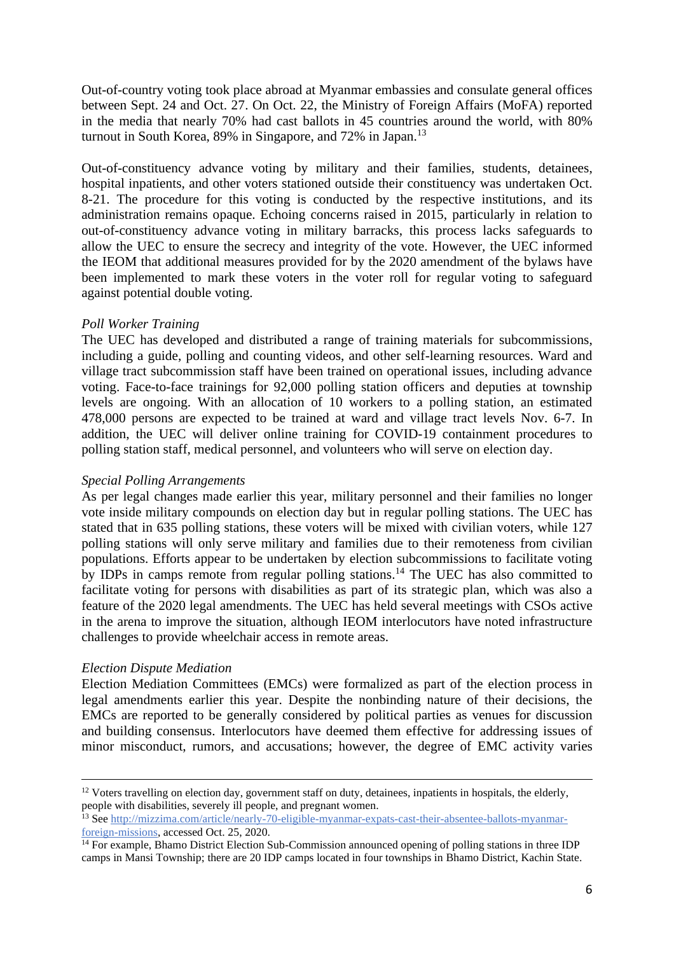Out-of-country voting took place abroad at Myanmar embassies and consulate general offices between Sept. 24 and Oct. 27. On Oct. 22, the Ministry of Foreign Affairs (MoFA) reported in the media that nearly 70% had cast ballots in 45 countries around the world, with 80% turnout in South Korea, 89% in Singapore, and 72% in Japan.<sup>13</sup>

Out-of-constituency advance voting by military and their families, students, detainees, hospital inpatients, and other voters stationed outside their constituency was undertaken Oct. 8-21. The procedure for this voting is conducted by the respective institutions, and its administration remains opaque. Echoing concerns raised in 2015, particularly in relation to out-of-constituency advance voting in military barracks, this process lacks safeguards to allow the UEC to ensure the secrecy and integrity of the vote. However, the UEC informed the IEOM that additional measures provided for by the 2020 amendment of the bylaws have been implemented to mark these voters in the voter roll for regular voting to safeguard against potential double voting.

### *Poll Worker Training*

The UEC has developed and distributed a range of training materials for subcommissions, including a guide, polling and counting videos, and other self-learning resources. Ward and village tract subcommission staff have been trained on operational issues, including advance voting. Face-to-face trainings for 92,000 polling station officers and deputies at township levels are ongoing. With an allocation of 10 workers to a polling station, an estimated 478,000 persons are expected to be trained at ward and village tract levels Nov. 6-7. In addition, the UEC will deliver online training for COVID-19 containment procedures to polling station staff, medical personnel, and volunteers who will serve on election day.

#### *Special Polling Arrangements*

As per legal changes made earlier this year, military personnel and their families no longer vote inside military compounds on election day but in regular polling stations. The UEC has stated that in 635 polling stations, these voters will be mixed with civilian voters, while 127 polling stations will only serve military and families due to their remoteness from civilian populations. Efforts appear to be undertaken by election subcommissions to facilitate voting by IDPs in camps remote from regular polling stations. <sup>14</sup> The UEC has also committed to facilitate voting for persons with disabilities as part of its strategic plan, which was also a feature of the 2020 legal amendments. The UEC has held several meetings with CSOs active in the arena to improve the situation, although IEOM interlocutors have noted infrastructure challenges to provide wheelchair access in remote areas.

#### *Election Dispute Mediation*

Election Mediation Committees (EMCs) were formalized as part of the election process in legal amendments earlier this year. Despite the nonbinding nature of their decisions, the EMCs are reported to be generally considered by political parties as venues for discussion and building consensus. Interlocutors have deemed them effective for addressing issues of minor misconduct, rumors, and accusations; however, the degree of EMC activity varies

<sup>&</sup>lt;sup>12</sup> Voters travelling on election day, government staff on duty, detainees, inpatients in hospitals, the elderly, people with disabilities, severely ill people, and pregnant women.

<sup>&</sup>lt;sup>13</sup> See [http://mizzima.com/article/nearly-70-eligible-myanmar-expats-cast-their-absentee-ballots-myanmar](http://mizzima.com/article/nearly-70-eligible-myanmar-expats-cast-their-absentee-ballots-myanmar-foreign-missions)[foreign-missions,](http://mizzima.com/article/nearly-70-eligible-myanmar-expats-cast-their-absentee-ballots-myanmar-foreign-missions) accessed Oct. 25, 2020.

<sup>&</sup>lt;sup>14</sup> For example, Bhamo District Election Sub-Commission announced opening of polling stations in three IDP camps in Mansi Township; there are 20 IDP camps located in four townships in Bhamo District, Kachin State.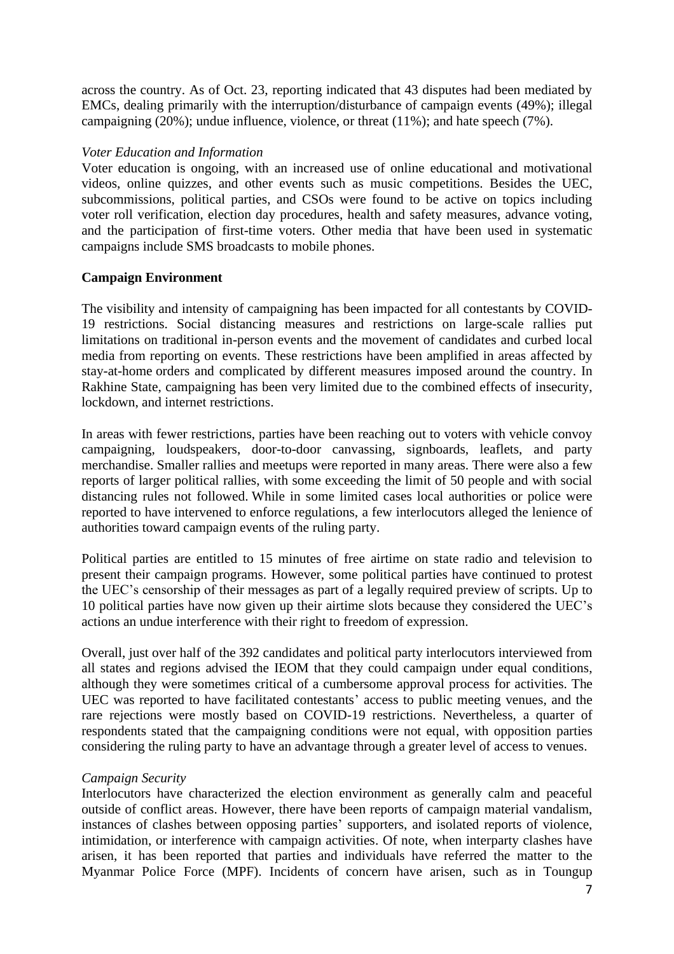across the country. As of Oct. 23, reporting indicated that 43 disputes had been mediated by EMCs, dealing primarily with the interruption/disturbance of campaign events (49%); illegal campaigning (20%); undue influence, violence, or threat (11%); and hate speech (7%).

## *Voter Education and Information*

Voter education is ongoing, with an increased use of online educational and motivational videos, online quizzes, and other events such as music competitions. Besides the UEC, subcommissions, political parties, and CSOs were found to be active on topics including voter roll verification, election day procedures, health and safety measures, advance voting, and the participation of first-time voters. Other media that have been used in systematic campaigns include SMS broadcasts to mobile phones.

# **Campaign Environment**

The visibility and intensity of campaigning has been impacted for all contestants by COVID-19 restrictions. Social distancing measures and restrictions on large-scale rallies put limitations on traditional in-person events and the movement of candidates and curbed local media from reporting on events. These restrictions have been amplified in areas affected by stay-at-home orders and complicated by different measures imposed around the country. In Rakhine State, campaigning has been very limited due to the combined effects of insecurity, lockdown, and internet restrictions.

In areas with fewer restrictions, parties have been reaching out to voters with vehicle convoy campaigning, loudspeakers, door-to-door canvassing, signboards, leaflets, and party merchandise. Smaller rallies and meetups were reported in many areas. There were also a few reports of larger political rallies, with some exceeding the limit of 50 people and with social distancing rules not followed. While in some limited cases local authorities or police were reported to have intervened to enforce regulations, a few interlocutors alleged the lenience of authorities toward campaign events of the ruling party.

Political parties are entitled to 15 minutes of free airtime on state radio and television to present their campaign programs. However, some political parties have continued to protest the UEC's censorship of their messages as part of a legally required preview of scripts. Up to 10 political parties have now given up their airtime slots because they considered the UEC's actions an undue interference with their right to freedom of expression.

Overall, just over half of the 392 candidates and political party interlocutors interviewed from all states and regions advised the IEOM that they could campaign under equal conditions, although they were sometimes critical of a cumbersome approval process for activities. The UEC was reported to have facilitated contestants' access to public meeting venues, and the rare rejections were mostly based on COVID-19 restrictions. Nevertheless, a quarter of respondents stated that the campaigning conditions were not equal, with opposition parties considering the ruling party to have an advantage through a greater level of access to venues.

# *Campaign Security*

Interlocutors have characterized the election environment as generally calm and peaceful outside of conflict areas. However, there have been reports of campaign material vandalism, instances of clashes between opposing parties' supporters, and isolated reports of violence, intimidation, or interference with campaign activities. Of note, when interparty clashes have arisen, it has been reported that parties and individuals have referred the matter to the Myanmar Police Force (MPF). Incidents of concern have arisen, such as in Toungup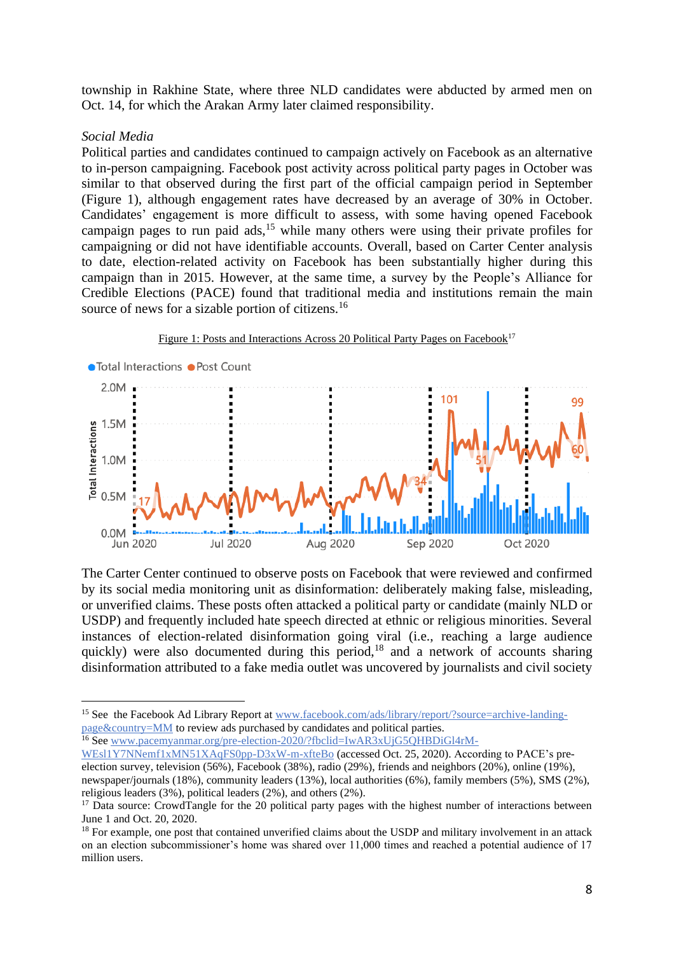township in Rakhine State, where three NLD candidates were abducted by armed men on Oct. 14, for which the Arakan Army later claimed responsibility.

#### *Social Media*

Political parties and candidates continued to campaign actively on Facebook as an alternative to in-person campaigning. Facebook post activity across political party pages in October was similar to that observed during the first part of the official campaign period in September (Figure 1), although engagement rates have decreased by an average of 30% in October. Candidates' engagement is more difficult to assess, with some having opened Facebook campaign pages to run paid  $ads$ ,<sup>15</sup> while many others were using their private profiles for campaigning or did not have identifiable accounts. Overall, based on Carter Center analysis to date, election-related activity on Facebook has been substantially higher during this campaign than in 2015. However, at the same time, a survey by the People's Alliance for Credible Elections (PACE) found that traditional media and institutions remain the main source of news for a sizable portion of citizens.<sup>16</sup>



The Carter Center continued to observe posts on Facebook that were reviewed and confirmed by its social media monitoring unit as disinformation: deliberately making false, misleading, or unverified claims. These posts often attacked a political party or candidate (mainly NLD or USDP) and frequently included hate speech directed at ethnic or religious minorities. Several instances of election-related disinformation going viral (i.e., reaching a large audience quickly) were also documented during this period, $18$  and a network of accounts sharing disinformation attributed to a fake media outlet was uncovered by journalists and civil society

<sup>&</sup>lt;sup>15</sup> See the Facebook Ad Library Report at [www.facebook.com/ads/library/report/?source=archive-landing](file:///C:/Users/JonathanStonestreet/AppData/Local/Microsoft/Windows/INetCache/Content.Outlook/Z4N0ZNDZ/www.facebook.com/ads/library/report/%3fsource=archive-landing-page&country=MM)[page&country=MM](file:///C:/Users/JonathanStonestreet/AppData/Local/Microsoft/Windows/INetCache/Content.Outlook/Z4N0ZNDZ/www.facebook.com/ads/library/report/%3fsource=archive-landing-page&country=MM) to review ads purchased by candidates and political parties. <sup>16</sup> See [www.pacemyanmar.org/pre-election-2020/?fbclid=IwAR3xUjG5QHBDiGl4rM-](file:///C:/Users/JonathanStonestreet/AppData/Local/Microsoft/Windows/INetCache/Content.Outlook/Z4N0ZNDZ/www.pacemyanmar.org/pre-election-2020/%3ffbclid=IwAR3xUjG5QHBDiGl4rM-WEsl1Y7NNemf1xMN51XAqFS0pp-D3xW-m-xfteBo)

[WEsl1Y7NNemf1xMN51XAqFS0pp-D3xW-m-xfteBo](file:///C:/Users/JonathanStonestreet/AppData/Local/Microsoft/Windows/INetCache/Content.Outlook/Z4N0ZNDZ/www.pacemyanmar.org/pre-election-2020/%3ffbclid=IwAR3xUjG5QHBDiGl4rM-WEsl1Y7NNemf1xMN51XAqFS0pp-D3xW-m-xfteBo) (accessed Oct. 25, 2020). According to PACE's preelection survey, television (56%), Facebook (38%), radio (29%), friends and neighbors (20%), online (19%), newspaper/journals (18%), community leaders (13%), local authorities (6%), family members (5%), SMS (2%), religious leaders (3%), political leaders (2%), and others (2%).

<sup>&</sup>lt;sup>17</sup> Data source: CrowdTangle for the 20 political party pages with the highest number of interactions between June 1 and Oct. 20, 2020.

<sup>&</sup>lt;sup>18</sup> For example, one post that contained unverified claims about the USDP and military involvement in an attack on an election subcommissioner's home was shared over 11,000 times and reached a potential audience of 17 million users.